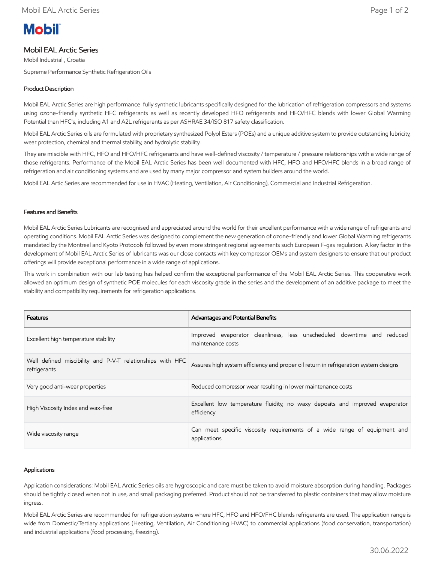# **Mobil**

## Mobil EAL Arctic Series

Mobil Industrial , Croatia Supreme Performance Synthetic Refrigeration Oils

### Product Description

Mobil EAL Arctic Series are high performance fully synthetic lubricants specifically designed for the lubrication of refrigeration compressors and systems using ozone-friendly synthetic HFC refrigerants as well as recently developed HFO refrigerants and HFO/HFC blends with lower Global Warming Potential than HFC's, including A1 and A2L refrigerants as per ASHRAE 34/ISO 817 safety classification.

Mobil EAL Arctic Series oils are formulated with proprietary synthesized Polyol Esters (POEs) and a unique additive system to provide outstanding lubricity, wear protection, chemical and thermal stability, and hydrolytic stability.

They are miscible with HFC, HFO and HFO/HFC refrigerants and have well-defined viscosity / temperature / pressure relationships with a wide range of those refrigerants. Performance of the Mobil EAL Arctic Series has been well documented with HFC, HFO and HFO/HFC blends in a broad range of refrigeration and air conditioning systems and are used by many major compressor and system builders around the world.

Mobil EAL Artic Series are recommended for use in HVAC (Heating, Ventilation, Air Conditioning), Commercial and Industrial Refrigeration.

#### Features and Benefits

Mobil EAL Arctic Series Lubricants are recognised and appreciated around the world for their excellent performance with a wide range of refrigerants and operating conditions. Mobil EAL Arctic Series was designed to complement the new generation of ozone-friendly and lower Global Warming refrigerants mandated by the Montreal and Kyoto Protocols followed by even more stringent regional agreements such European F-gas regulation. A key factor in the development of Mobil EAL Arctic Series of lubricants was our close contacts with key compressor OEMs and system designers to ensure that our product offerings will provide exceptional performance in a wide range of applications.

This work in combination with our lab testing has helped confirm the exceptional performance of the Mobil EAL Arctic Series. This cooperative work allowed an optimum design of synthetic POE molecules for each viscosity grade in the series and the development of an additive package to meet the stability and compatibility requirements for refrigeration applications.

| <b>Features</b>                                                           | <b>Advantages and Potential Benefits</b>                                                    |
|---------------------------------------------------------------------------|---------------------------------------------------------------------------------------------|
| Excellent high temperature stability                                      | Improved evaporator cleanliness, less unscheduled downtime and reduced<br>maintenance costs |
| Well defined miscibility and P-V-T relationships with HFC<br>refrigerants | Assures high system efficiency and proper oil return in refrigeration system designs        |
| Very good anti-wear properties                                            | Reduced compressor wear resulting in lower maintenance costs                                |
| High Viscosity Index and wax-free                                         | Excellent low temperature fluidity, no waxy deposits and improved evaporator<br>efficiency  |
| Wide viscosity range                                                      | Can meet specific viscosity requirements of a wide range of equipment and<br>applications   |

#### Applications

Application considerations: Mobil EAL Arctic Series oils are hygroscopic and care must be taken to avoid moisture absorption during handling. Packages should be tightly closed when not in use, and small packaging preferred. Product should not be transferred to plastic containers that may allow moisture ingress.

Mobil EAL Arctic Series are recommended for refrigeration systems where HFC, HFO and HFO/FHC blends refrigerants are used. The application range is wide from Domestic/Tertiary applications (Heating, Ventilation, Air Conditioning HVAC) to commercial applications (food conservation, transportation) and industrial applications (food processing, freezing).